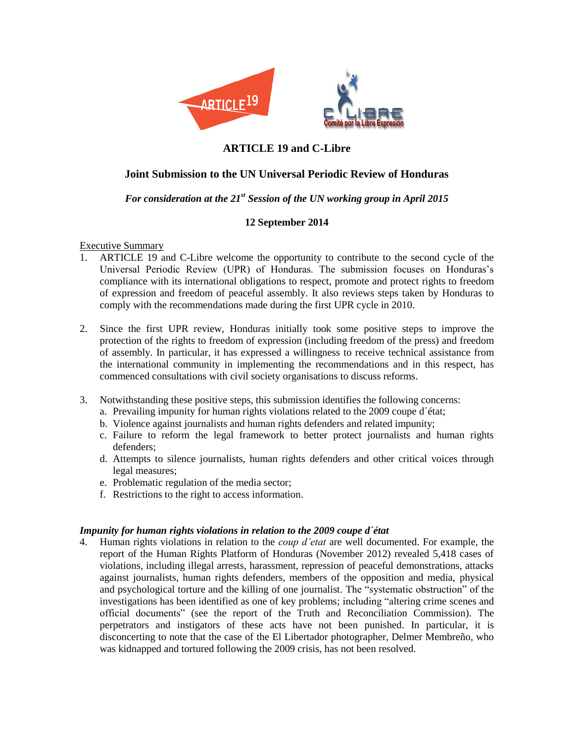

# **ARTICLE 19 and C-Libre**

## **Joint Submission to the UN Universal Periodic Review of Honduras**

## *For consideration at the 21st Session of the UN working group in April 2015*

## **12 September 2014**

Executive Summary

- 1. ARTICLE 19 and C-Libre welcome the opportunity to contribute to the second cycle of the Universal Periodic Review (UPR) of Honduras. The submission focuses on Honduras's compliance with its international obligations to respect, promote and protect rights to freedom of expression and freedom of peaceful assembly. It also reviews steps taken by Honduras to comply with the recommendations made during the first UPR cycle in 2010.
- 2. Since the first UPR review, Honduras initially took some positive steps to improve the protection of the rights to freedom of expression (including freedom of the press) and freedom of assembly. In particular, it has expressed a willingness to receive technical assistance from the international community in implementing the recommendations and in this respect, has commenced consultations with civil society organisations to discuss reforms.
- 3. Notwithstanding these positive steps, this submission identifies the following concerns:
	- a. Prevailing impunity for human rights violations related to the 2009 coupe d´état;
	- b. Violence against journalists and human rights defenders and related impunity;
	- c. Failure to reform the legal framework to better protect journalists and human rights defenders;
	- d. Attempts to silence journalists, human rights defenders and other critical voices through legal measures;
	- e. Problematic regulation of the media sector;
	- f. Restrictions to the right to access information.

### *Impunity for human rights violations in relation to the 2009 coupe d´état*

4. Human rights violations in relation to the *coup d'etat* are well documented. For example, the report of the Human Rights Platform of Honduras (November 2012) revealed 5,418 cases of violations*,* including illegal arrests, harassment, repression of peaceful demonstrations, attacks against journalists, human rights defenders, members of the opposition and media, physical and psychological torture and the killing of one journalist. The "systematic obstruction" of the investigations has been identified as one of key problems; including "altering crime scenes and official documents" (see the report of the Truth and Reconciliation Commission). The perpetrators and instigators of these acts have not been punished. In particular, it is disconcerting to note that the case of the El Libertador photographer, Delmer Membreño, who was kidnapped and tortured following the 2009 crisis, has not been resolved.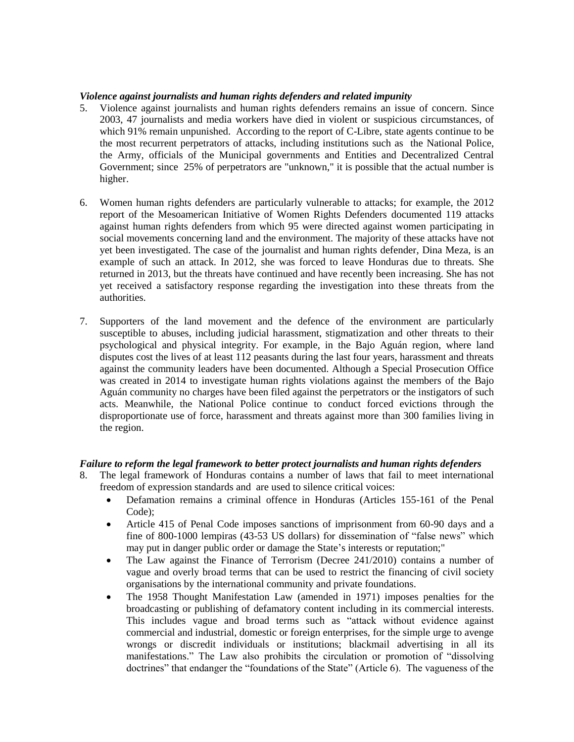#### *Violence against journalists and human rights defenders and related impunity*

- 5. Violence against journalists and human rights defenders remains an issue of concern. Since 2003, 47 journalists and media workers have died in violent or suspicious circumstances, of which 91% remain unpunished. According to the report of C-Libre, state agents continue to be the most recurrent perpetrators of attacks, including institutions such as the National Police, the Army, officials of the Municipal governments and Entities and Decentralized Central Government; since 25% of perpetrators are "unknown," it is possible that the actual number is higher.
- 6. Women human rights defenders are particularly vulnerable to attacks; for example, the 2012 report of the Mesoamerican Initiative of Women Rights Defenders documented 119 attacks against human rights defenders from which 95 were directed against women participating in social movements concerning land and the environment. The majority of these attacks have not yet been investigated. The case of the journalist and human rights defender, Dina Meza, is an example of such an attack. In 2012, she was forced to leave Honduras due to threats. She returned in 2013, but the threats have continued and have recently been increasing. She has not yet received a satisfactory response regarding the investigation into these threats from the authorities.
- 7. Supporters of the land movement and the defence of the environment are particularly susceptible to abuses, including judicial harassment, stigmatization and other threats to their psychological and physical integrity. For example, in the Bajo Aguán region, where land disputes cost the lives of at least 112 peasants during the last four years, harassment and threats against the community leaders have been documented. Although a Special Prosecution Office was created in 2014 to investigate human rights violations against the members of the Bajo Aguán community no charges have been filed against the perpetrators or the instigators of such acts. Meanwhile, the National Police continue to conduct forced evictions through the disproportionate use of force, harassment and threats against more than 300 families living in the region.

### *Failure to reform the legal framework to better protect journalists and human rights defenders*

- 8. The legal framework of Honduras contains a number of laws that fail to meet international freedom of expression standards and are used to silence critical voices:
	- Defamation remains a criminal offence in Honduras (Articles 155-161 of the Penal Code);
	- Article 415 of Penal Code imposes sanctions of imprisonment from 60-90 days and a fine of 800-1000 lempiras (43-53 US dollars) for dissemination of "false news" which may put in danger public order or damage the State's interests or reputation;"
	- The Law against the Finance of Terrorism (Decree 241/2010) contains a number of vague and overly broad terms that can be used to restrict the financing of civil society organisations by the international community and private foundations.
	- The 1958 Thought Manifestation Law (amended in 1971) imposes penalties for the broadcasting or publishing of defamatory content including in its commercial interests. This includes vague and broad terms such as "attack without evidence against commercial and industrial, domestic or foreign enterprises, for the simple urge to avenge wrongs or discredit individuals or institutions; blackmail advertising in all its manifestations." The Law also prohibits the circulation or promotion of "dissolving doctrines" that endanger the "foundations of the State" (Article 6). The vagueness of the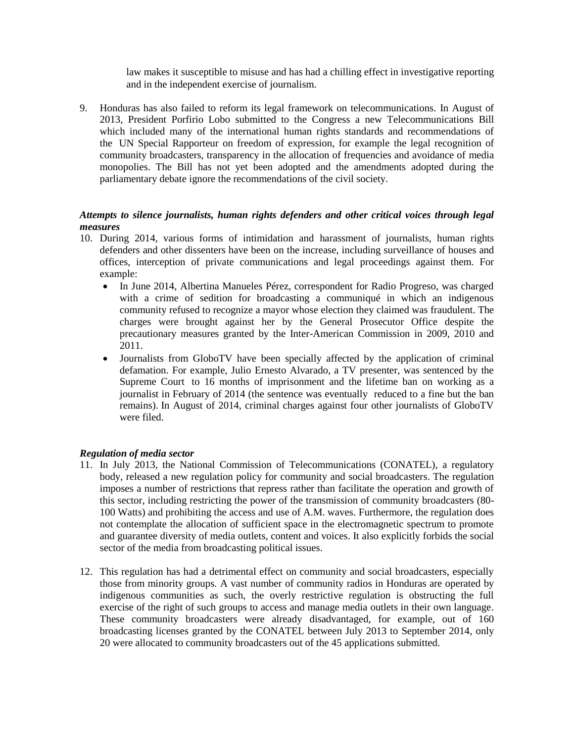law makes it susceptible to misuse and has had a chilling effect in investigative reporting and in the independent exercise of journalism.

9. Honduras has also failed to reform its legal framework on telecommunications. In August of 2013, President Porfirio Lobo submitted to the Congress a new Telecommunications Bill which included many of the international human rights standards and recommendations of the UN Special Rapporteur on freedom of expression, for example the legal recognition of community broadcasters, transparency in the allocation of frequencies and avoidance of media monopolies. The Bill has not yet been adopted and the amendments adopted during the parliamentary debate ignore the recommendations of the civil society.

## *Attempts to silence journalists, human rights defenders and other critical voices through legal measures*

- 10. During 2014, various forms of intimidation and harassment of journalists, human rights defenders and other dissenters have been on the increase, including surveillance of houses and offices, interception of private communications and legal proceedings against them. For example:
	- In June 2014, Albertina Manueles Pérez, correspondent for Radio Progreso, was charged with a crime of sedition for broadcasting a communiqué in which an indigenous community refused to recognize a mayor whose election they claimed was fraudulent. The charges were brought against her by the General Prosecutor Office despite the precautionary measures granted by the Inter-American Commission in 2009, 2010 and 2011.
	- Journalists from GloboTV have been specially affected by the application of criminal defamation. For example, Julio Ernesto Alvarado, a TV presenter, was sentenced by the Supreme Court to 16 months of imprisonment and the lifetime ban on working as a journalist in February of 2014 (the sentence was eventually reduced to a fine but the ban remains). In August of 2014, criminal charges against four other journalists of GloboTV were filed.

### *Regulation of media sector*

- 11. In July 2013, the National Commission of Telecommunications (CONATEL), a regulatory body, released a new regulation policy for community and social broadcasters. The regulation imposes a number of restrictions that repress rather than facilitate the operation and growth of this sector, including restricting the power of the transmission of community broadcasters (80- 100 Watts) and prohibiting the access and use of A.M. waves. Furthermore, the regulation does not contemplate the allocation of sufficient space in the electromagnetic spectrum to promote and guarantee diversity of media outlets, content and voices. It also explicitly forbids the social sector of the media from broadcasting political issues.
- 12. This regulation has had a detrimental effect on community and social broadcasters, especially those from minority groups. A vast number of community radios in Honduras are operated by indigenous communities as such, the overly restrictive regulation is obstructing the full exercise of the right of such groups to access and manage media outlets in their own language. These community broadcasters were already disadvantaged, for example, out of 160 broadcasting licenses granted by the CONATEL between July 2013 to September 2014, only 20 were allocated to community broadcasters out of the 45 applications submitted.